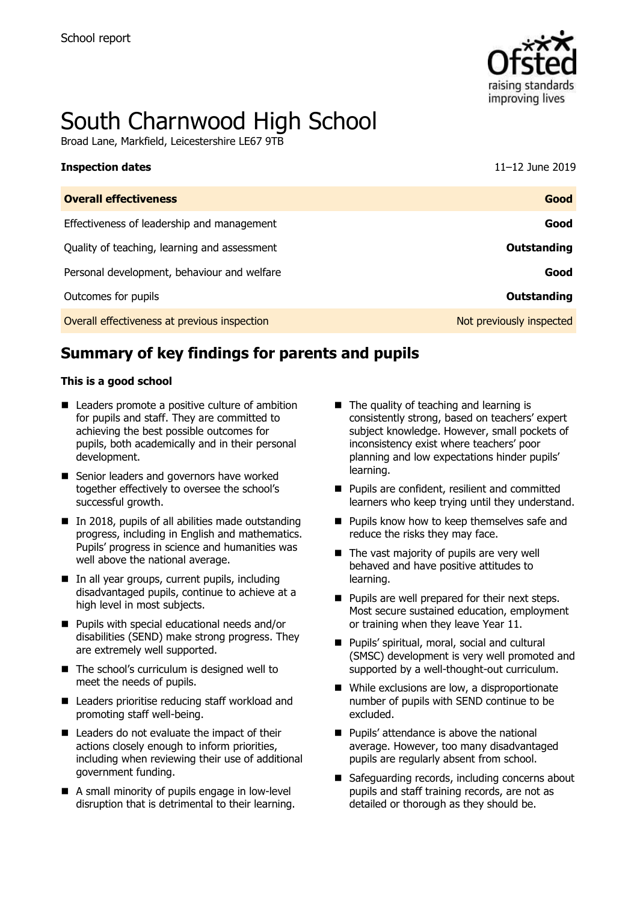

# South Charnwood High School

Broad Lane, Markfield, Leicestershire LE67 9TB

| <b>Inspection dates</b>                      | 11-12 June 2019          |
|----------------------------------------------|--------------------------|
| <b>Overall effectiveness</b>                 | Good                     |
| Effectiveness of leadership and management   | Good                     |
| Quality of teaching, learning and assessment | Outstanding              |
| Personal development, behaviour and welfare  | Good                     |
| Outcomes for pupils                          | <b>Outstanding</b>       |
| Overall effectiveness at previous inspection | Not previously inspected |

# **Summary of key findings for parents and pupils**

### **This is a good school**

- Leaders promote a positive culture of ambition for pupils and staff. They are committed to achieving the best possible outcomes for pupils, both academically and in their personal development.
- Senior leaders and governors have worked together effectively to oversee the school's successful growth.
- In 2018, pupils of all abilities made outstanding progress, including in English and mathematics. Pupils' progress in science and humanities was well above the national average.
- In all year groups, current pupils, including disadvantaged pupils, continue to achieve at a high level in most subjects.
- **Pupils with special educational needs and/or** disabilities (SEND) make strong progress. They are extremely well supported.
- The school's curriculum is designed well to meet the needs of pupils.
- Leaders prioritise reducing staff workload and promoting staff well-being.
- Leaders do not evaluate the impact of their actions closely enough to inform priorities, including when reviewing their use of additional government funding.
- A small minority of pupils engage in low-level disruption that is detrimental to their learning.
- The quality of teaching and learning is consistently strong, based on teachers' expert subject knowledge. However, small pockets of inconsistency exist where teachers' poor planning and low expectations hinder pupils' learning.
- **Pupils are confident, resilient and committed** learners who keep trying until they understand.
- **Pupils know how to keep themselves safe and** reduce the risks they may face.
- $\blacksquare$  The vast majority of pupils are very well behaved and have positive attitudes to learning.
- $\blacksquare$  Pupils are well prepared for their next steps. Most secure sustained education, employment or training when they leave Year 11.
- **Pupils' spiritual, moral, social and cultural** (SMSC) development is very well promoted and supported by a well-thought-out curriculum.
- While exclusions are low, a disproportionate number of pupils with SEND continue to be excluded.
- **Pupils' attendance is above the national** average. However, too many disadvantaged pupils are regularly absent from school.
- Safeguarding records, including concerns about pupils and staff training records, are not as detailed or thorough as they should be.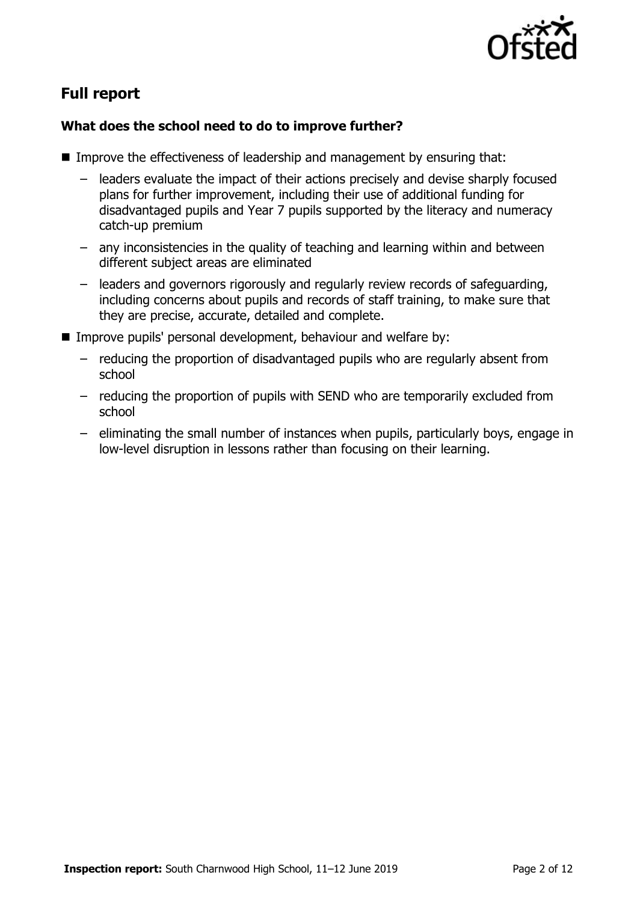

# **Full report**

### **What does the school need to do to improve further?**

- Improve the effectiveness of leadership and management by ensuring that:
	- leaders evaluate the impact of their actions precisely and devise sharply focused plans for further improvement, including their use of additional funding for disadvantaged pupils and Year 7 pupils supported by the literacy and numeracy catch-up premium
	- any inconsistencies in the quality of teaching and learning within and between different subject areas are eliminated
	- leaders and governors rigorously and regularly review records of safeguarding, including concerns about pupils and records of staff training, to make sure that they are precise, accurate, detailed and complete.
- **IMPROVE PUPILS' personal development, behaviour and welfare by:** 
	- reducing the proportion of disadvantaged pupils who are regularly absent from school
	- reducing the proportion of pupils with SEND who are temporarily excluded from school
	- eliminating the small number of instances when pupils, particularly boys, engage in low-level disruption in lessons rather than focusing on their learning.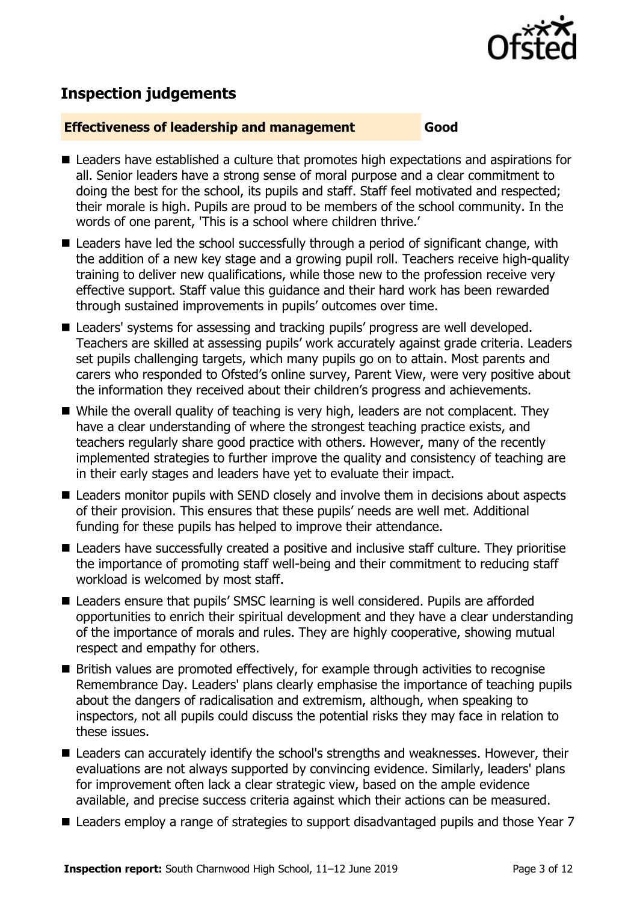

# **Inspection judgements**

### **Effectiveness of leadership and management Good**

- Leaders have established a culture that promotes high expectations and aspirations for all. Senior leaders have a strong sense of moral purpose and a clear commitment to doing the best for the school, its pupils and staff. Staff feel motivated and respected; their morale is high. Pupils are proud to be members of the school community. In the words of one parent, 'This is a school where children thrive.'
- Leaders have led the school successfully through a period of significant change, with the addition of a new key stage and a growing pupil roll. Teachers receive high-quality training to deliver new qualifications, while those new to the profession receive very effective support. Staff value this guidance and their hard work has been rewarded through sustained improvements in pupils' outcomes over time.
- Leaders' systems for assessing and tracking pupils' progress are well developed. Teachers are skilled at assessing pupils' work accurately against grade criteria. Leaders set pupils challenging targets, which many pupils go on to attain. Most parents and carers who responded to Ofsted's online survey, Parent View, were very positive about the information they received about their children's progress and achievements.
- While the overall quality of teaching is very high, leaders are not complacent. They have a clear understanding of where the strongest teaching practice exists, and teachers regularly share good practice with others. However, many of the recently implemented strategies to further improve the quality and consistency of teaching are in their early stages and leaders have yet to evaluate their impact.
- Leaders monitor pupils with SEND closely and involve them in decisions about aspects of their provision. This ensures that these pupils' needs are well met. Additional funding for these pupils has helped to improve their attendance.
- Leaders have successfully created a positive and inclusive staff culture. They prioritise the importance of promoting staff well-being and their commitment to reducing staff workload is welcomed by most staff.
- Leaders ensure that pupils' SMSC learning is well considered. Pupils are afforded opportunities to enrich their spiritual development and they have a clear understanding of the importance of morals and rules. They are highly cooperative, showing mutual respect and empathy for others.
- British values are promoted effectively, for example through activities to recognise Remembrance Day. Leaders' plans clearly emphasise the importance of teaching pupils about the dangers of radicalisation and extremism, although, when speaking to inspectors, not all pupils could discuss the potential risks they may face in relation to these issues.
- Leaders can accurately identify the school's strengths and weaknesses. However, their evaluations are not always supported by convincing evidence. Similarly, leaders' plans for improvement often lack a clear strategic view, based on the ample evidence available, and precise success criteria against which their actions can be measured.
- Leaders employ a range of strategies to support disadvantaged pupils and those Year 7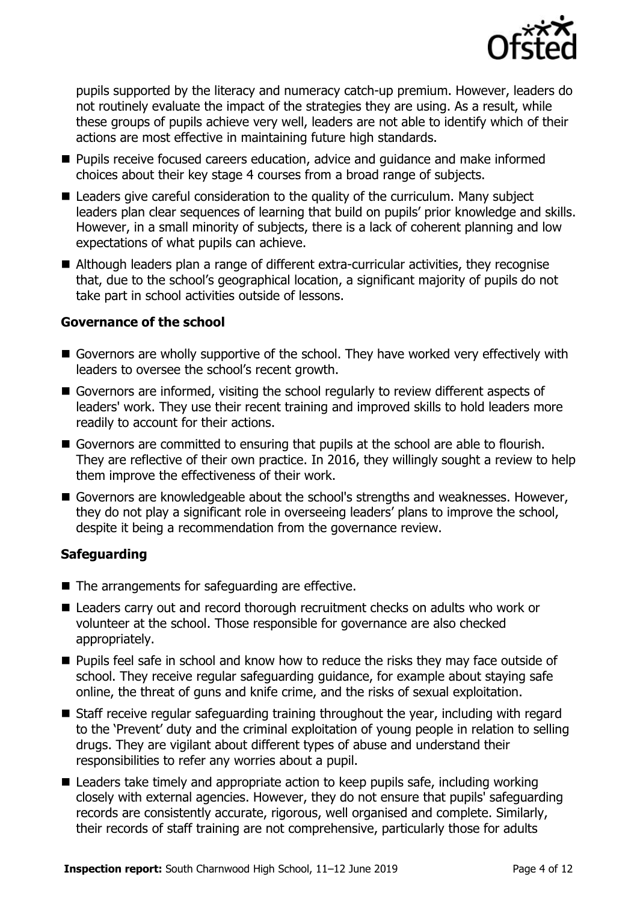

pupils supported by the literacy and numeracy catch-up premium. However, leaders do not routinely evaluate the impact of the strategies they are using. As a result, while these groups of pupils achieve very well, leaders are not able to identify which of their actions are most effective in maintaining future high standards.

- **Pupils receive focused careers education, advice and guidance and make informed** choices about their key stage 4 courses from a broad range of subjects.
- Leaders give careful consideration to the quality of the curriculum. Many subject leaders plan clear sequences of learning that build on pupils' prior knowledge and skills. However, in a small minority of subjects, there is a lack of coherent planning and low expectations of what pupils can achieve.
- Although leaders plan a range of different extra-curricular activities, they recognise that, due to the school's geographical location, a significant majority of pupils do not take part in school activities outside of lessons.

### **Governance of the school**

- Governors are wholly supportive of the school. They have worked very effectively with leaders to oversee the school's recent growth.
- Governors are informed, visiting the school regularly to review different aspects of leaders' work. They use their recent training and improved skills to hold leaders more readily to account for their actions.
- Governors are committed to ensuring that pupils at the school are able to flourish. They are reflective of their own practice. In 2016, they willingly sought a review to help them improve the effectiveness of their work.
- Governors are knowledgeable about the school's strengths and weaknesses. However, they do not play a significant role in overseeing leaders' plans to improve the school, despite it being a recommendation from the governance review.

### **Safeguarding**

- $\blacksquare$  The arrangements for safeguarding are effective.
- Leaders carry out and record thorough recruitment checks on adults who work or volunteer at the school. Those responsible for governance are also checked appropriately.
- **Pupils feel safe in school and know how to reduce the risks they may face outside of** school. They receive regular safeguarding guidance, for example about staying safe online, the threat of guns and knife crime, and the risks of sexual exploitation.
- Staff receive regular safeguarding training throughout the year, including with regard to the 'Prevent' duty and the criminal exploitation of young people in relation to selling drugs. They are vigilant about different types of abuse and understand their responsibilities to refer any worries about a pupil.
- Leaders take timely and appropriate action to keep pupils safe, including working closely with external agencies. However, they do not ensure that pupils' safeguarding records are consistently accurate, rigorous, well organised and complete. Similarly, their records of staff training are not comprehensive, particularly those for adults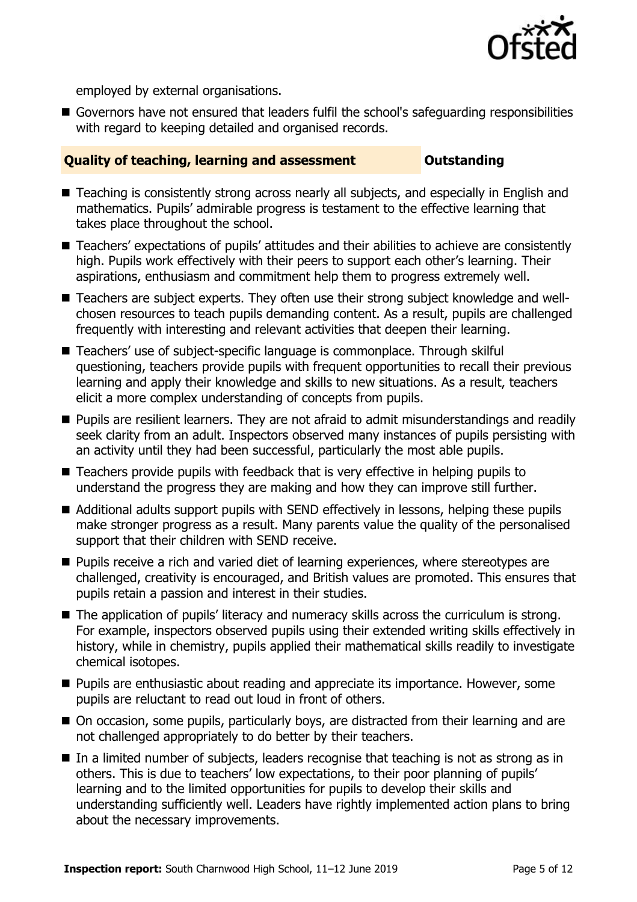

employed by external organisations.

Governors have not ensured that leaders fulfil the school's safeguarding responsibilities with regard to keeping detailed and organised records.

### **Quality of teaching, learning and assessment Outstanding**

- Teaching is consistently strong across nearly all subjects, and especially in English and mathematics. Pupils' admirable progress is testament to the effective learning that takes place throughout the school.
- Teachers' expectations of pupils' attitudes and their abilities to achieve are consistently high. Pupils work effectively with their peers to support each other's learning. Their aspirations, enthusiasm and commitment help them to progress extremely well.
- Teachers are subject experts. They often use their strong subject knowledge and wellchosen resources to teach pupils demanding content. As a result, pupils are challenged frequently with interesting and relevant activities that deepen their learning.
- Teachers' use of subject-specific language is commonplace. Through skilful questioning, teachers provide pupils with frequent opportunities to recall their previous learning and apply their knowledge and skills to new situations. As a result, teachers elicit a more complex understanding of concepts from pupils.
- **Pupils are resilient learners. They are not afraid to admit misunderstandings and readily** seek clarity from an adult. Inspectors observed many instances of pupils persisting with an activity until they had been successful, particularly the most able pupils.
- Teachers provide pupils with feedback that is very effective in helping pupils to understand the progress they are making and how they can improve still further.
- Additional adults support pupils with SEND effectively in lessons, helping these pupils make stronger progress as a result. Many parents value the quality of the personalised support that their children with SEND receive.
- **Pupils receive a rich and varied diet of learning experiences, where stereotypes are** challenged, creativity is encouraged, and British values are promoted. This ensures that pupils retain a passion and interest in their studies.
- The application of pupils' literacy and numeracy skills across the curriculum is strong. For example, inspectors observed pupils using their extended writing skills effectively in history, while in chemistry, pupils applied their mathematical skills readily to investigate chemical isotopes.
- **Pupils are enthusiastic about reading and appreciate its importance. However, some** pupils are reluctant to read out loud in front of others.
- On occasion, some pupils, particularly boys, are distracted from their learning and are not challenged appropriately to do better by their teachers.
- In a limited number of subjects, leaders recognise that teaching is not as strong as in others. This is due to teachers' low expectations, to their poor planning of pupils' learning and to the limited opportunities for pupils to develop their skills and understanding sufficiently well. Leaders have rightly implemented action plans to bring about the necessary improvements.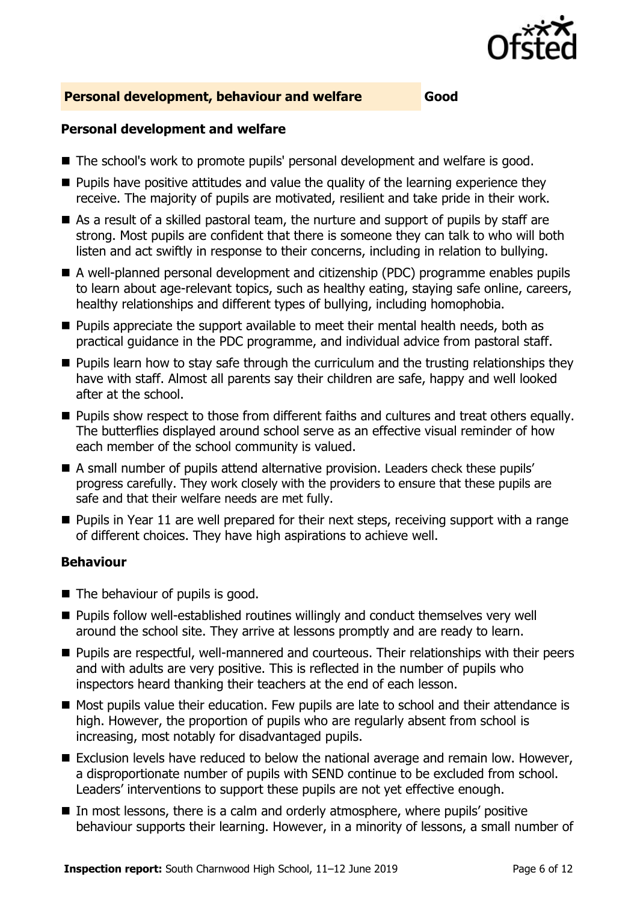

### **Personal development, behaviour and welfare Good**

### **Personal development and welfare**

- The school's work to promote pupils' personal development and welfare is good.
- $\blacksquare$  Pupils have positive attitudes and value the quality of the learning experience they receive. The majority of pupils are motivated, resilient and take pride in their work.
- As a result of a skilled pastoral team, the nurture and support of pupils by staff are strong. Most pupils are confident that there is someone they can talk to who will both listen and act swiftly in response to their concerns, including in relation to bullying.
- A well-planned personal development and citizenship (PDC) programme enables pupils to learn about age-relevant topics, such as healthy eating, staying safe online, careers, healthy relationships and different types of bullying, including homophobia.
- **Pupils appreciate the support available to meet their mental health needs, both as** practical guidance in the PDC programme, and individual advice from pastoral staff.
- **Pupils learn how to stay safe through the curriculum and the trusting relationships they** have with staff. Almost all parents say their children are safe, happy and well looked after at the school.
- **Pupils show respect to those from different faiths and cultures and treat others equally.** The butterflies displayed around school serve as an effective visual reminder of how each member of the school community is valued.
- A small number of pupils attend alternative provision. Leaders check these pupils' progress carefully. They work closely with the providers to ensure that these pupils are safe and that their welfare needs are met fully.
- **Pupils in Year 11 are well prepared for their next steps, receiving support with a range** of different choices. They have high aspirations to achieve well.

### **Behaviour**

- The behaviour of pupils is good.
- Pupils follow well-established routines willingly and conduct themselves very well around the school site. They arrive at lessons promptly and are ready to learn.
- **Pupils are respectful, well-mannered and courteous. Their relationships with their peers** and with adults are very positive. This is reflected in the number of pupils who inspectors heard thanking their teachers at the end of each lesson.
- Most pupils value their education. Few pupils are late to school and their attendance is high. However, the proportion of pupils who are regularly absent from school is increasing, most notably for disadvantaged pupils.
- Exclusion levels have reduced to below the national average and remain low. However, a disproportionate number of pupils with SEND continue to be excluded from school. Leaders' interventions to support these pupils are not yet effective enough.
- In most lessons, there is a calm and orderly atmosphere, where pupils' positive behaviour supports their learning. However, in a minority of lessons, a small number of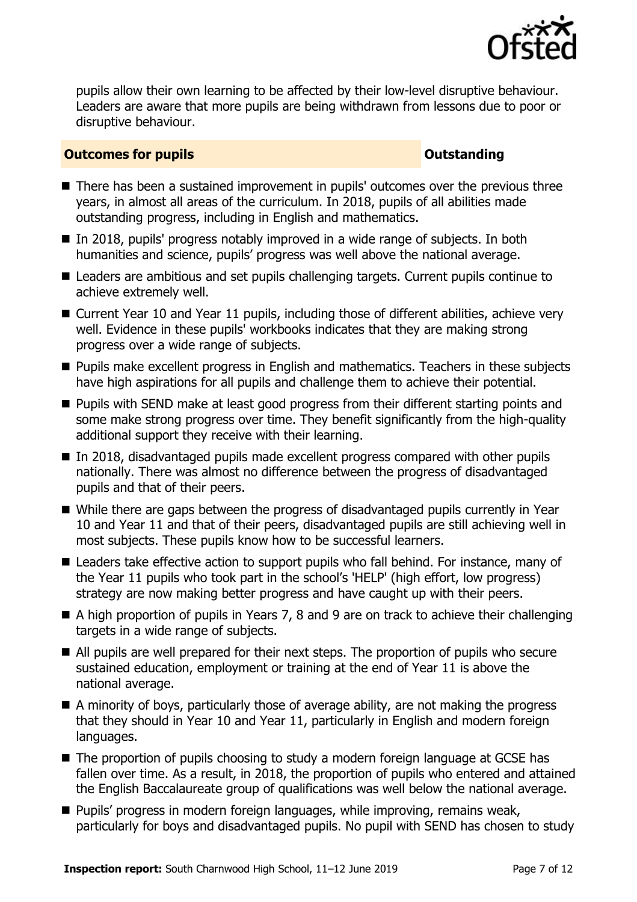

pupils allow their own learning to be affected by their low-level disruptive behaviour. Leaders are aware that more pupils are being withdrawn from lessons due to poor or disruptive behaviour.

### **Outcomes for pupils Outstanding**

- There has been a sustained improvement in pupils' outcomes over the previous three years, in almost all areas of the curriculum. In 2018, pupils of all abilities made outstanding progress, including in English and mathematics.
- In 2018, pupils' progress notably improved in a wide range of subjects. In both humanities and science, pupils' progress was well above the national average.
- Leaders are ambitious and set pupils challenging targets. Current pupils continue to achieve extremely well.
- Current Year 10 and Year 11 pupils, including those of different abilities, achieve very well. Evidence in these pupils' workbooks indicates that they are making strong progress over a wide range of subjects.
- **Pupils make excellent progress in English and mathematics. Teachers in these subjects** have high aspirations for all pupils and challenge them to achieve their potential.
- **Pupils with SEND make at least good progress from their different starting points and** some make strong progress over time. They benefit significantly from the high-quality additional support they receive with their learning.
- In 2018, disadvantaged pupils made excellent progress compared with other pupils nationally. There was almost no difference between the progress of disadvantaged pupils and that of their peers.
- While there are gaps between the progress of disadvantaged pupils currently in Year 10 and Year 11 and that of their peers, disadvantaged pupils are still achieving well in most subjects. These pupils know how to be successful learners.
- Leaders take effective action to support pupils who fall behind. For instance, many of the Year 11 pupils who took part in the school's 'HELP' (high effort, low progress) strategy are now making better progress and have caught up with their peers.
- A high proportion of pupils in Years 7, 8 and 9 are on track to achieve their challenging targets in a wide range of subjects.
- All pupils are well prepared for their next steps. The proportion of pupils who secure sustained education, employment or training at the end of Year 11 is above the national average.
- A minority of boys, particularly those of average ability, are not making the progress that they should in Year 10 and Year 11, particularly in English and modern foreign languages.
- The proportion of pupils choosing to study a modern foreign language at GCSE has fallen over time. As a result, in 2018, the proportion of pupils who entered and attained the English Baccalaureate group of qualifications was well below the national average.
- **Pupils' progress in modern foreign languages, while improving, remains weak,** particularly for boys and disadvantaged pupils. No pupil with SEND has chosen to study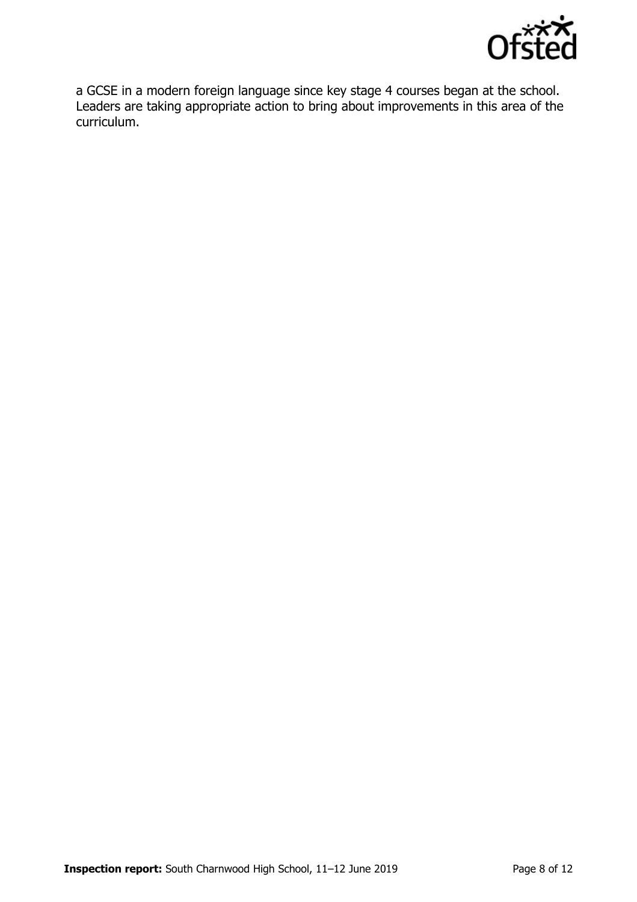

a GCSE in a modern foreign language since key stage 4 courses began at the school. Leaders are taking appropriate action to bring about improvements in this area of the curriculum.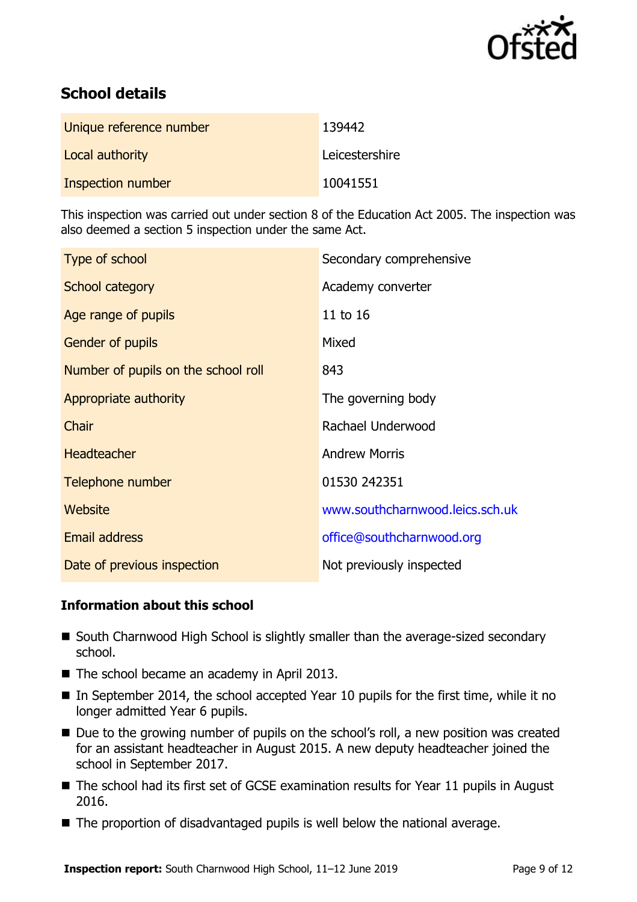

# **School details**

| Unique reference number | 139442         |
|-------------------------|----------------|
| Local authority         | Leicestershire |
| Inspection number       | 10041551       |

This inspection was carried out under section 8 of the Education Act 2005. The inspection was also deemed a section 5 inspection under the same Act.

| Type of school                      | Secondary comprehensive         |
|-------------------------------------|---------------------------------|
| School category                     | Academy converter               |
| Age range of pupils                 | 11 to 16                        |
| <b>Gender of pupils</b>             | Mixed                           |
| Number of pupils on the school roll | 843                             |
| Appropriate authority               | The governing body              |
| Chair                               | Rachael Underwood               |
| <b>Headteacher</b>                  | <b>Andrew Morris</b>            |
| Telephone number                    | 01530 242351                    |
| Website                             | www.southcharnwood.leics.sch.uk |
| <b>Email address</b>                | office@southcharnwood.org       |
| Date of previous inspection         | Not previously inspected        |

### **Information about this school**

- South Charnwood High School is slightly smaller than the average-sized secondary school.
- The school became an academy in April 2013.
- $\blacksquare$  In September 2014, the school accepted Year 10 pupils for the first time, while it no longer admitted Year 6 pupils.
- Due to the growing number of pupils on the school's roll, a new position was created for an assistant headteacher in August 2015. A new deputy headteacher joined the school in September 2017.
- The school had its first set of GCSE examination results for Year 11 pupils in August 2016.
- The proportion of disadvantaged pupils is well below the national average.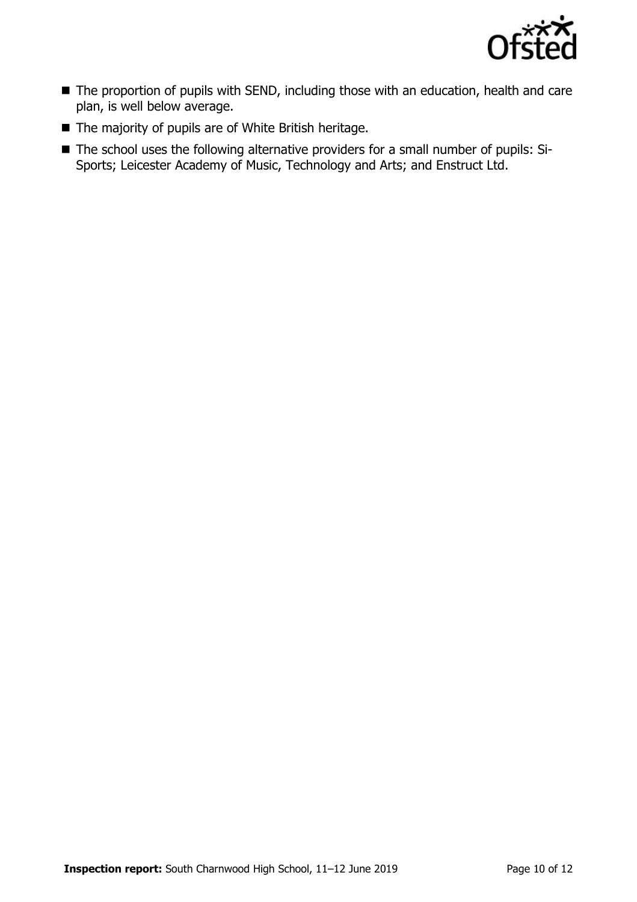

- The proportion of pupils with SEND, including those with an education, health and care plan, is well below average.
- The majority of pupils are of White British heritage.
- The school uses the following alternative providers for a small number of pupils: Si-Sports; Leicester Academy of Music, Technology and Arts; and Enstruct Ltd.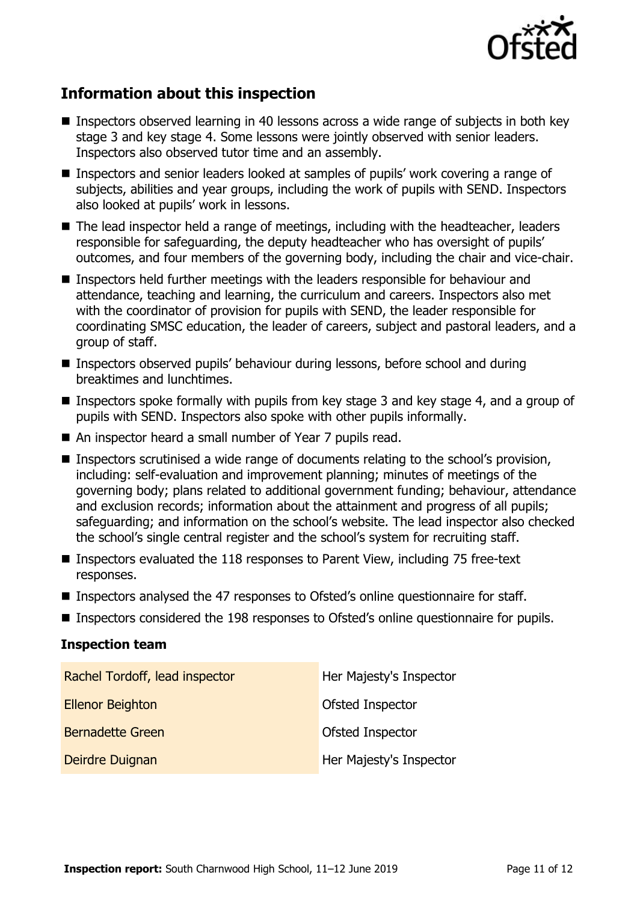

# **Information about this inspection**

- Inspectors observed learning in 40 lessons across a wide range of subjects in both key stage 3 and key stage 4. Some lessons were jointly observed with senior leaders. Inspectors also observed tutor time and an assembly.
- Inspectors and senior leaders looked at samples of pupils' work covering a range of subjects, abilities and year groups, including the work of pupils with SEND. Inspectors also looked at pupils' work in lessons.
- The lead inspector held a range of meetings, including with the headteacher, leaders responsible for safeguarding, the deputy headteacher who has oversight of pupils' outcomes, and four members of the governing body, including the chair and vice-chair.
- Inspectors held further meetings with the leaders responsible for behaviour and attendance, teaching and learning, the curriculum and careers. Inspectors also met with the coordinator of provision for pupils with SEND, the leader responsible for coordinating SMSC education, the leader of careers, subject and pastoral leaders, and a group of staff.
- Inspectors observed pupils' behaviour during lessons, before school and during breaktimes and lunchtimes.
- **Inspectors spoke formally with pupils from key stage 3 and key stage 4, and a group of** pupils with SEND. Inspectors also spoke with other pupils informally.
- An inspector heard a small number of Year 7 pupils read.
- **Inspectors scrutinised a wide range of documents relating to the school's provision,** including: self-evaluation and improvement planning; minutes of meetings of the governing body; plans related to additional government funding; behaviour, attendance and exclusion records; information about the attainment and progress of all pupils; safeguarding; and information on the school's website. The lead inspector also checked the school's single central register and the school's system for recruiting staff.
- Inspectors evaluated the 118 responses to Parent View, including 75 free-text responses.
- Inspectors analysed the 47 responses to Ofsted's online questionnaire for staff.
- Inspectors considered the 198 responses to Ofsted's online questionnaire for pupils.

### **Inspection team**

| Rachel Tordoff, lead inspector | Her Majesty's Inspector |
|--------------------------------|-------------------------|
| <b>Ellenor Beighton</b>        | Ofsted Inspector        |
| <b>Bernadette Green</b>        | Ofsted Inspector        |
| Deirdre Duignan                | Her Majesty's Inspector |